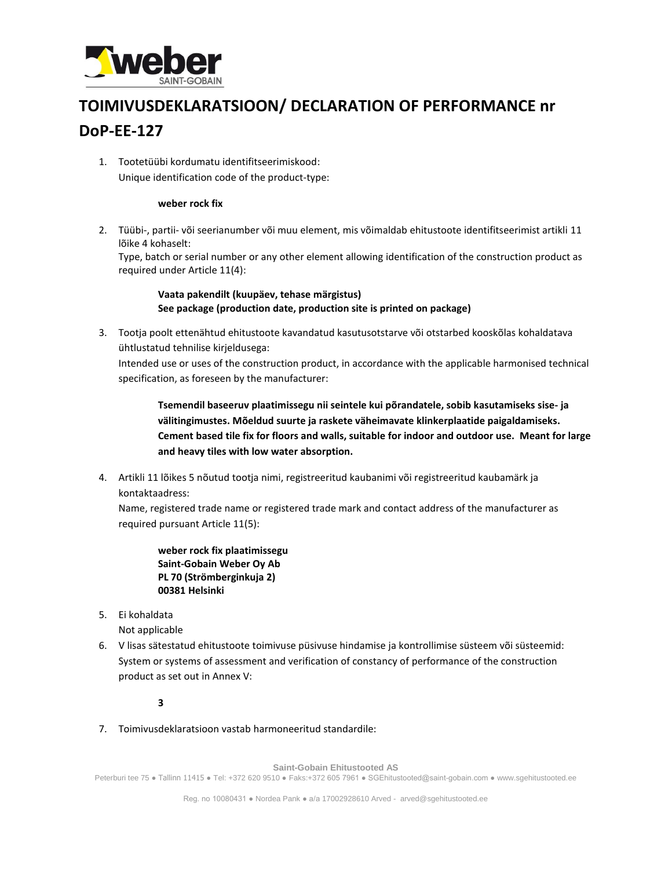

## **TOIMIVUSDEKLARATSIOON/ DECLARATION OF PERFORMANCE nr DoP-EE-127**

1. Tootetüübi kordumatu identifitseerimiskood: Unique identification code of the product-type:

## **weber rock fix**

2. Tüübi-, partii- või seerianumber või muu element, mis võimaldab ehitustoote identifitseerimist artikli 11 lõike 4 kohaselt:

Type, batch or serial number or any other element allowing identification of the construction product as required under Article 11(4):

**Vaata pakendilt (kuupäev, tehase märgistus) See package (production date, production site is printed on package)**

3. Tootja poolt ettenähtud ehitustoote kavandatud kasutusotstarve või otstarbed kooskõlas kohaldatava ühtlustatud tehnilise kirjeldusega:

Intended use or uses of the construction product, in accordance with the applicable harmonised technical specification, as foreseen by the manufacturer:

**Tsemendil baseeruv plaatimissegu nii seintele kui põrandatele, sobib kasutamiseks sise- ja välitingimustes. Mõeldud suurte ja raskete väheimavate klinkerplaatide paigaldamiseks. Cement based tile fix for floors and walls, suitable for indoor and outdoor use. Meant for large and heavy tiles with low water absorption.** 

4. Artikli 11 lõikes 5 nõutud tootja nimi, registreeritud kaubanimi või registreeritud kaubamärk ja kontaktaadress:

Name, registered trade name or registered trade mark and contact address of the manufacturer as required pursuant Article 11(5):

**weber rock fix plaatimissegu Saint-Gobain Weber Oy Ab PL 70 (Strömberginkuja 2) 00381 Helsinki**

5. Ei kohaldata

Not applicable

6. V lisas sätestatud ehitustoote toimivuse püsivuse hindamise ja kontrollimise süsteem või süsteemid: System or systems of assessment and verification of constancy of performance of the construction product as set out in Annex V:

## **3**

7. Toimivusdeklaratsioon vastab harmoneeritud standardile:

**Saint-Gobain Ehitustooted AS** 

Peterburi tee 75 ● Tallinn 11415 ● Tel: +372 620 9510 ● Faks:+372 605 7961 ● SGEhitustooted@saint-gobain.com ● www.sgehitustooted.ee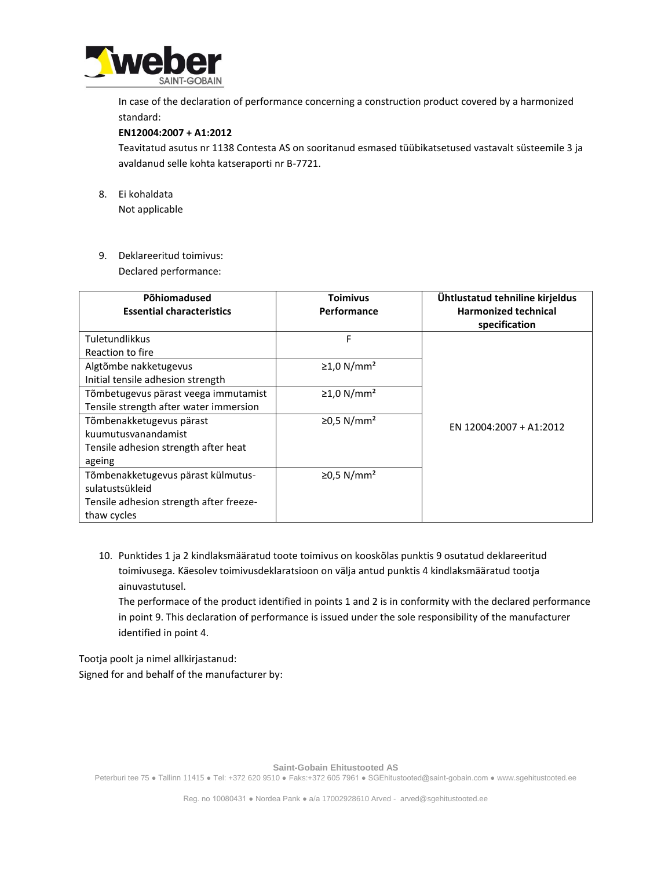

In case of the declaration of performance concerning a construction product covered by a harmonized standard:

## **EN12004:2007 + A1:2012**

Teavitatud asutus nr 1138 Contesta AS on sooritanud esmased tüübikatsetused vastavalt süsteemile 3 ja avaldanud selle kohta katseraporti nr B-7721.

- 8. Ei kohaldata Not applicable
- 9. Deklareeritud toimivus:

Declared performance:

| Põhiomadused<br><b>Essential characteristics</b>                                                                | <b>Toimivus</b><br>Performance | Ühtlustatud tehniline kirjeldus<br><b>Harmonized technical</b><br>specification |
|-----------------------------------------------------------------------------------------------------------------|--------------------------------|---------------------------------------------------------------------------------|
| <b>Tuletundlikkus</b><br>Reaction to fire                                                                       | F                              |                                                                                 |
| Algtõmbe nakketugevus<br>Initial tensile adhesion strength                                                      | $\geq$ 1,0 N/mm <sup>2</sup>   |                                                                                 |
| Tõmbetugevus pärast veega immutamist<br>Tensile strength after water immersion                                  | $\geq$ 1,0 N/mm <sup>2</sup>   |                                                                                 |
| Tõmbenakketugevus pärast<br>kuumutusvanandamist<br>Tensile adhesion strength after heat<br>ageing               | $≥0,5$ N/mm <sup>2</sup>       | EN 12004:2007 + A1:2012                                                         |
| Tõmbenakketugevus pärast külmutus-<br>sulatustsükleid<br>Tensile adhesion strength after freeze-<br>thaw cycles | $≥0,5$ N/mm <sup>2</sup>       |                                                                                 |

10. Punktides 1 ja 2 kindlaksmääratud toote toimivus on kooskõlas punktis 9 osutatud deklareeritud toimivusega. Käesolev toimivusdeklaratsioon on välja antud punktis 4 kindlaksmääratud tootja ainuvastutusel.

The performace of the product identified in points 1 and 2 is in conformity with the declared performance in point 9. This declaration of performance is issued under the sole responsibility of the manufacturer identified in point 4.

Tootja poolt ja nimel allkirjastanud: Signed for and behalf of the manufacturer by:

**Saint-Gobain Ehitustooted AS** 

Peterburi tee 75 ● Tallinn 11415 ● Tel: +372 620 9510 ● Faks:+372 605 7961 ● SGEhitustooted@saint-gobain.com ● www.sgehitustooted.ee